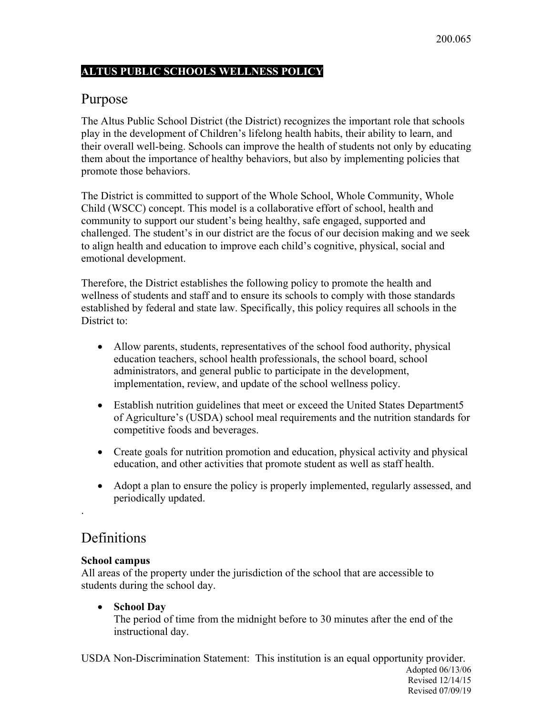#### **ALTUS PUBLIC SCHOOLS WELLNESS POLICY**

## Purpose

The Altus Public School District (the District) recognizes the important role that schools play in the development of Children's lifelong health habits, their ability to learn, and their overall well-being. Schools can improve the health of students not only by educating them about the importance of healthy behaviors, but also by implementing policies that promote those behaviors.

The District is committed to support of the Whole School, Whole Community, Whole Child (WSCC) concept. This model is a collaborative effort of school, health and community to support our student's being healthy, safe engaged, supported and challenged. The student's in our district are the focus of our decision making and we seek to align health and education to improve each child's cognitive, physical, social and emotional development.

Therefore, the District establishes the following policy to promote the health and wellness of students and staff and to ensure its schools to comply with those standards established by federal and state law. Specifically, this policy requires all schools in the District to:

- Allow parents, students, representatives of the school food authority, physical education teachers, school health professionals, the school board, school administrators, and general public to participate in the development, implementation, review, and update of the school wellness policy.
- Establish nutrition guidelines that meet or exceed the United States Department5 of Agriculture's (USDA) school meal requirements and the nutrition standards for competitive foods and beverages.
- Create goals for nutrition promotion and education, physical activity and physical education, and other activities that promote student as well as staff health.
- Adopt a plan to ensure the policy is properly implemented, regularly assessed, and periodically updated.

## **Definitions**

.

#### **School campus**

All areas of the property under the jurisdiction of the school that are accessible to students during the school day.

• **School Day**

The period of time from the midnight before to 30 minutes after the end of the instructional day.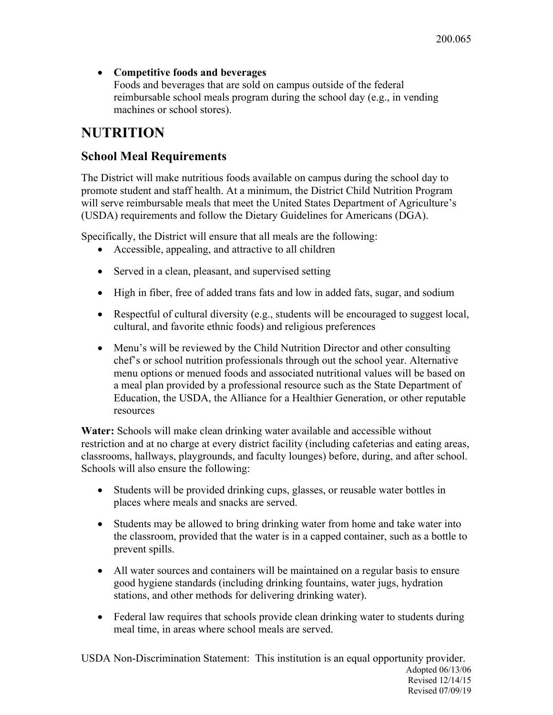• **Competitive foods and beverages**

Foods and beverages that are sold on campus outside of the federal reimbursable school meals program during the school day (e.g., in vending machines or school stores).

# **NUTRITION**

## **School Meal Requirements**

The District will make nutritious foods available on campus during the school day to promote student and staff health. At a minimum, the District Child Nutrition Program will serve reimbursable meals that meet the United States Department of Agriculture's (USDA) requirements and follow the Dietary Guidelines for Americans (DGA).

Specifically, the District will ensure that all meals are the following:

- Accessible, appealing, and attractive to all children
- Served in a clean, pleasant, and supervised setting
- High in fiber, free of added trans fats and low in added fats, sugar, and sodium
- Respectful of cultural diversity (e.g., students will be encouraged to suggest local, cultural, and favorite ethnic foods) and religious preferences
- Menu's will be reviewed by the Child Nutrition Director and other consulting chef's or school nutrition professionals through out the school year. Alternative menu options or menued foods and associated nutritional values will be based on a meal plan provided by a professional resource such as the State Department of Education, the USDA, the Alliance for a Healthier Generation, or other reputable resources

**Water:** Schools will make clean drinking water available and accessible without restriction and at no charge at every district facility (including cafeterias and eating areas, classrooms, hallways, playgrounds, and faculty lounges) before, during, and after school. Schools will also ensure the following:

- Students will be provided drinking cups, glasses, or reusable water bottles in places where meals and snacks are served.
- Students may be allowed to bring drinking water from home and take water into the classroom, provided that the water is in a capped container, such as a bottle to prevent spills.
- All water sources and containers will be maintained on a regular basis to ensure good hygiene standards (including drinking fountains, water jugs, hydration stations, and other methods for delivering drinking water).
- Federal law requires that schools provide clean drinking water to students during meal time, in areas where school meals are served.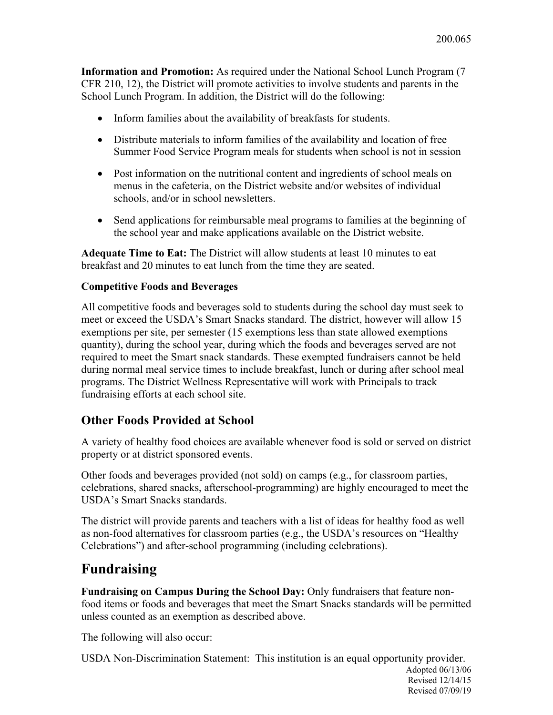**Information and Promotion:** As required under the National School Lunch Program (7 CFR 210, 12), the District will promote activities to involve students and parents in the School Lunch Program. In addition, the District will do the following:

- Inform families about the availability of breakfasts for students.
- Distribute materials to inform families of the availability and location of free Summer Food Service Program meals for students when school is not in session
- Post information on the nutritional content and ingredients of school meals on menus in the cafeteria, on the District website and/or websites of individual schools, and/or in school newsletters.
- Send applications for reimbursable meal programs to families at the beginning of the school year and make applications available on the District website.

**Adequate Time to Eat:** The District will allow students at least 10 minutes to eat breakfast and 20 minutes to eat lunch from the time they are seated.

#### **Competitive Foods and Beverages**

All competitive foods and beverages sold to students during the school day must seek to meet or exceed the USDA's Smart Snacks standard. The district, however will allow 15 exemptions per site, per semester (15 exemptions less than state allowed exemptions quantity), during the school year, during which the foods and beverages served are not required to meet the Smart snack standards. These exempted fundraisers cannot be held during normal meal service times to include breakfast, lunch or during after school meal programs. The District Wellness Representative will work with Principals to track fundraising efforts at each school site.

#### **Other Foods Provided at School**

A variety of healthy food choices are available whenever food is sold or served on district property or at district sponsored events.

Other foods and beverages provided (not sold) on camps (e.g., for classroom parties, celebrations, shared snacks, afterschool-programming) are highly encouraged to meet the USDA's Smart Snacks standards.

The district will provide parents and teachers with a list of ideas for healthy food as well as non-food alternatives for classroom parties (e.g., the USDA's resources on "Healthy Celebrations") and after-school programming (including celebrations).

## **Fundraising**

**Fundraising on Campus During the School Day:** Only fundraisers that feature nonfood items or foods and beverages that meet the Smart Snacks standards will be permitted unless counted as an exemption as described above.

The following will also occur: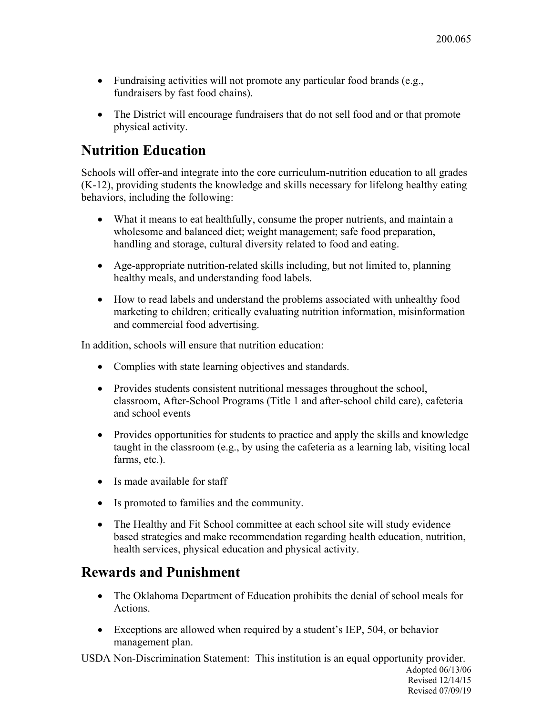- Fundraising activities will not promote any particular food brands (e.g., fundraisers by fast food chains).
- The District will encourage fundraisers that do not sell food and or that promote physical activity.

# **Nutrition Education**

Schools will offer-and integrate into the core curriculum-nutrition education to all grades (K-12), providing students the knowledge and skills necessary for lifelong healthy eating behaviors, including the following:

- What it means to eat healthfully, consume the proper nutrients, and maintain a wholesome and balanced diet; weight management; safe food preparation, handling and storage, cultural diversity related to food and eating.
- Age-appropriate nutrition-related skills including, but not limited to, planning healthy meals, and understanding food labels.
- How to read labels and understand the problems associated with unhealthy food marketing to children; critically evaluating nutrition information, misinformation and commercial food advertising.

In addition, schools will ensure that nutrition education:

- Complies with state learning objectives and standards.
- Provides students consistent nutritional messages throughout the school, classroom, After-School Programs (Title 1 and after-school child care), cafeteria and school events
- Provides opportunities for students to practice and apply the skills and knowledge taught in the classroom (e.g., by using the cafeteria as a learning lab, visiting local farms, etc.).
- Is made available for staff
- Is promoted to families and the community.
- The Healthy and Fit School committee at each school site will study evidence based strategies and make recommendation regarding health education, nutrition, health services, physical education and physical activity.

## **Rewards and Punishment**

- The Oklahoma Department of Education prohibits the denial of school meals for Actions.
- Exceptions are allowed when required by a student's IEP, 504, or behavior management plan.

USDA Non-Discrimination Statement: This institution is an equal opportunity provider.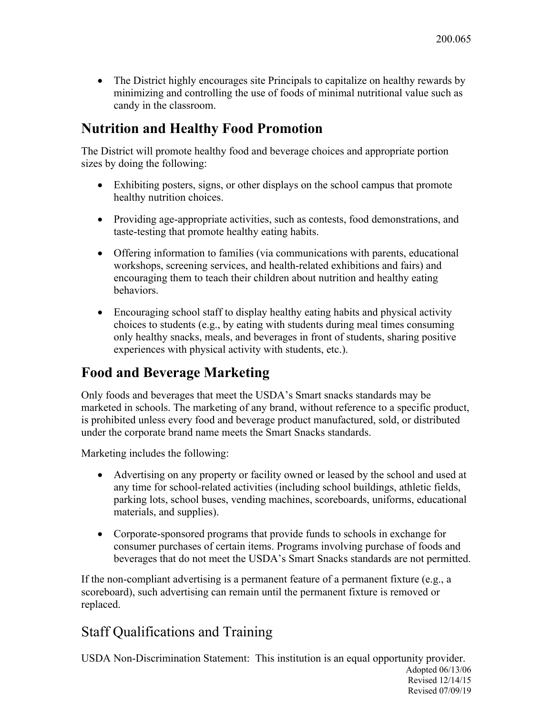• The District highly encourages site Principals to capitalize on healthy rewards by minimizing and controlling the use of foods of minimal nutritional value such as candy in the classroom.

## **Nutrition and Healthy Food Promotion**

The District will promote healthy food and beverage choices and appropriate portion sizes by doing the following:

- Exhibiting posters, signs, or other displays on the school campus that promote healthy nutrition choices.
- Providing age-appropriate activities, such as contests, food demonstrations, and taste-testing that promote healthy eating habits.
- Offering information to families (via communications with parents, educational workshops, screening services, and health-related exhibitions and fairs) and encouraging them to teach their children about nutrition and healthy eating behaviors.
- Encouraging school staff to display healthy eating habits and physical activity choices to students (e.g., by eating with students during meal times consuming only healthy snacks, meals, and beverages in front of students, sharing positive experiences with physical activity with students, etc.).

# **Food and Beverage Marketing**

Only foods and beverages that meet the USDA's Smart snacks standards may be marketed in schools. The marketing of any brand, without reference to a specific product, is prohibited unless every food and beverage product manufactured, sold, or distributed under the corporate brand name meets the Smart Snacks standards.

Marketing includes the following:

- Advertising on any property or facility owned or leased by the school and used at any time for school-related activities (including school buildings, athletic fields, parking lots, school buses, vending machines, scoreboards, uniforms, educational materials, and supplies).
- Corporate-sponsored programs that provide funds to schools in exchange for consumer purchases of certain items. Programs involving purchase of foods and beverages that do not meet the USDA's Smart Snacks standards are not permitted.

If the non-compliant advertising is a permanent feature of a permanent fixture (e.g., a scoreboard), such advertising can remain until the permanent fixture is removed or replaced.

# Staff Qualifications and Training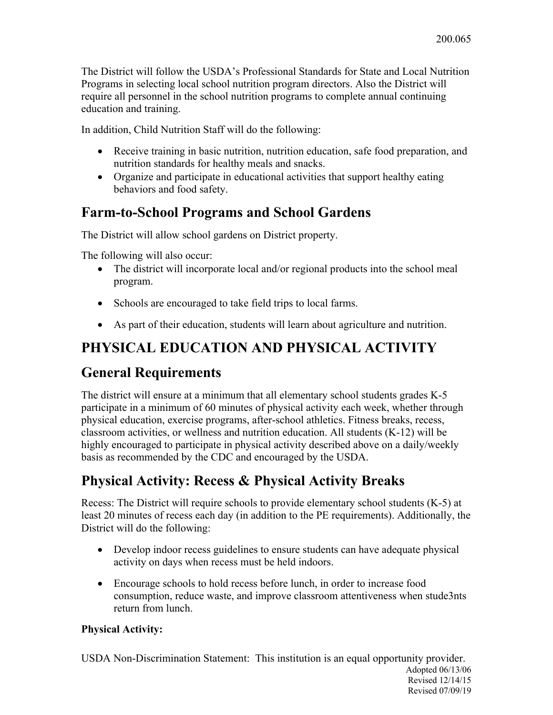The District will follow the USDA's Professional Standards for State and Local Nutrition Programs in selecting local school nutrition program directors. Also the District will require all personnel in the school nutrition programs to complete annual continuing education and training.

In addition, Child Nutrition Staff will do the following:

- Receive training in basic nutrition, nutrition education, safe food preparation, and nutrition standards for healthy meals and snacks.
- Organize and participate in educational activities that support healthy eating behaviors and food safety.

## **Farm-to-School Programs and School Gardens**

The District will allow school gardens on District property.

The following will also occur:

- The district will incorporate local and/or regional products into the school meal program.
- Schools are encouraged to take field trips to local farms.
- As part of their education, students will learn about agriculture and nutrition.

# **PHYSICAL EDUCATION AND PHYSICAL ACTIVITY**

# **General Requirements**

The district will ensure at a minimum that all elementary school students grades K-5 participate in a minimum of 60 minutes of physical activity each week, whether through physical education, exercise programs, after-school athletics. Fitness breaks, recess, classroom activities, or wellness and nutrition education. All students (K-12) will be highly encouraged to participate in physical activity described above on a daily/weekly basis as recommended by the CDC and encouraged by the USDA.

# **Physical Activity: Recess & Physical Activity Breaks**

Recess: The District will require schools to provide elementary school students (K-5) at least 20 minutes of recess each day (in addition to the PE requirements). Additionally, the District will do the following:

- Develop indoor recess guidelines to ensure students can have adequate physical activity on days when recess must be held indoors.
- Encourage schools to hold recess before lunch, in order to increase food consumption, reduce waste, and improve classroom attentiveness when stude3nts return from lunch.

## **Physical Activity:**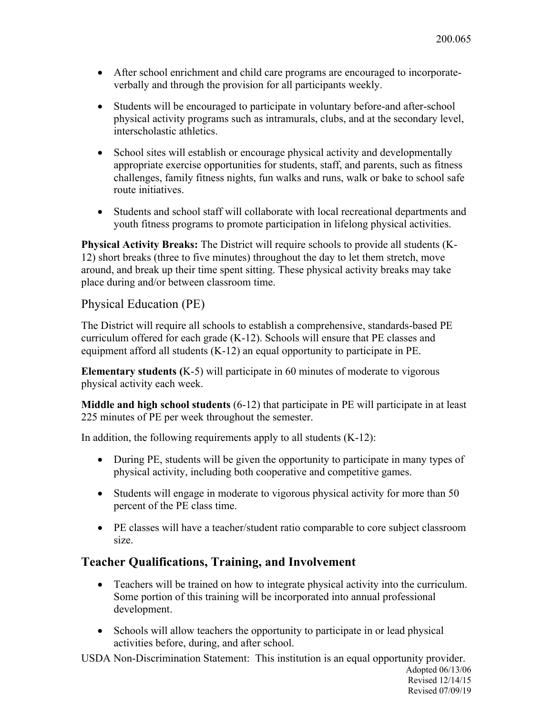- After school enrichment and child care programs are encouraged to incorporateverbally and through the provision for all participants weekly.
- Students will be encouraged to participate in voluntary before-and after-school physical activity programs such as intramurals, clubs, and at the secondary level, interscholastic athletics.
- School sites will establish or encourage physical activity and developmentally appropriate exercise opportunities for students, staff, and parents, such as fitness challenges, family fitness nights, fun walks and runs, walk or bake to school safe route initiatives.
- Students and school staff will collaborate with local recreational departments and youth fitness programs to promote participation in lifelong physical activities.

**Physical Activity Breaks:** The District will require schools to provide all students (K-12) short breaks (three to five minutes) throughout the day to let them stretch, move around, and break up their time spent sitting. These physical activity breaks may take place during and/or between classroom time.

#### Physical Education (PE)

The District will require all schools to establish a comprehensive, standards-based PE curriculum offered for each grade (K-12). Schools will ensure that PE classes and equipment afford all students (K-12) an equal opportunity to participate in PE.

**Elementary students (**K-5) will participate in 60 minutes of moderate to vigorous physical activity each week.

**Middle and high school students** (6-12) that participate in PE will participate in at least 225 minutes of PE per week throughout the semester.

In addition, the following requirements apply to all students  $(K-12)$ :

- During PE, students will be given the opportunity to participate in many types of physical activity, including both cooperative and competitive games.
- Students will engage in moderate to vigorous physical activity for more than 50 percent of the PE class time.
- PE classes will have a teacher/student ratio comparable to core subject classroom size.

#### **Teacher Qualifications, Training, and Involvement**

- Teachers will be trained on how to integrate physical activity into the curriculum. Some portion of this training will be incorporated into annual professional development.
- Schools will allow teachers the opportunity to participate in or lead physical activities before, during, and after school.

USDA Non-Discrimination Statement: This institution is an equal opportunity provider.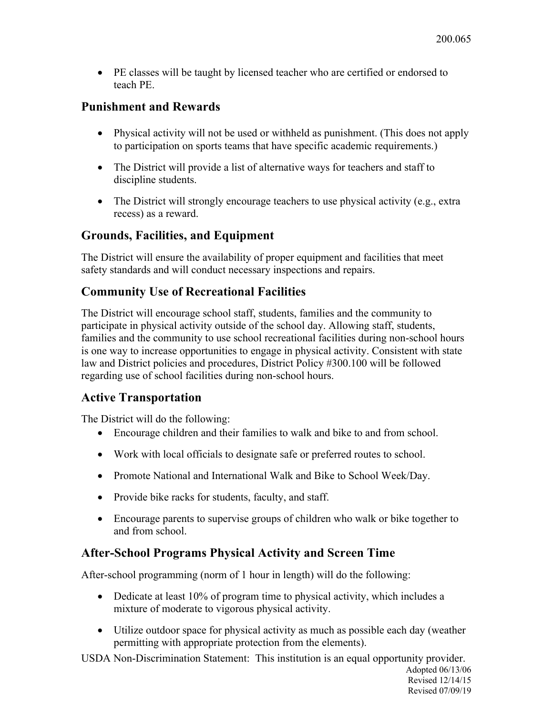• PE classes will be taught by licensed teacher who are certified or endorsed to teach PE.

### **Punishment and Rewards**

- Physical activity will not be used or withheld as punishment. (This does not apply to participation on sports teams that have specific academic requirements.)
- The District will provide a list of alternative ways for teachers and staff to discipline students.
- The District will strongly encourage teachers to use physical activity (e.g., extra recess) as a reward.

## **Grounds, Facilities, and Equipment**

The District will ensure the availability of proper equipment and facilities that meet safety standards and will conduct necessary inspections and repairs.

## **Community Use of Recreational Facilities**

The District will encourage school staff, students, families and the community to participate in physical activity outside of the school day. Allowing staff, students, families and the community to use school recreational facilities during non-school hours is one way to increase opportunities to engage in physical activity. Consistent with state law and District policies and procedures, District Policy #300.100 will be followed regarding use of school facilities during non-school hours.

## **Active Transportation**

The District will do the following:

- Encourage children and their families to walk and bike to and from school.
- Work with local officials to designate safe or preferred routes to school.
- Promote National and International Walk and Bike to School Week/Day.
- Provide bike racks for students, faculty, and staff.
- Encourage parents to supervise groups of children who walk or bike together to and from school.

## **After-School Programs Physical Activity and Screen Time**

After-school programming (norm of 1 hour in length) will do the following:

- Dedicate at least 10% of program time to physical activity, which includes a mixture of moderate to vigorous physical activity.
- Utilize outdoor space for physical activity as much as possible each day (weather permitting with appropriate protection from the elements).

USDA Non-Discrimination Statement: This institution is an equal opportunity provider. Adopted 06/13/06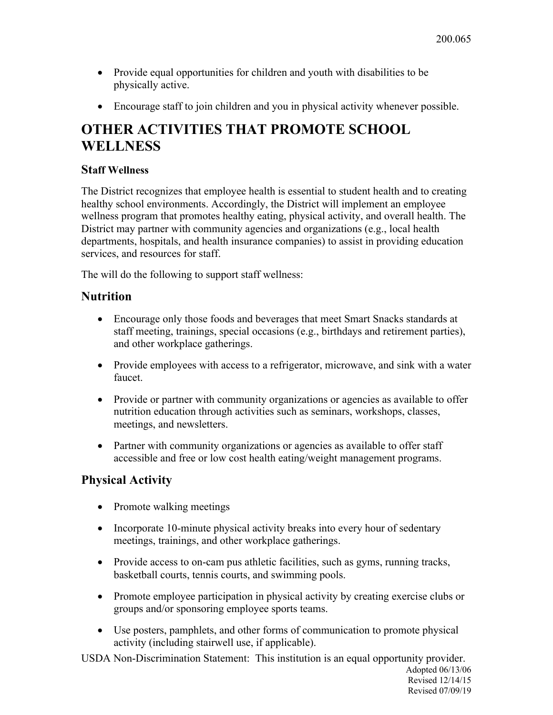Revised 07/09/19

- Provide equal opportunities for children and youth with disabilities to be physically active.
- Encourage staff to join children and you in physical activity whenever possible.

# **OTHER ACTIVITIES THAT PROMOTE SCHOOL WELLNESS**

#### **Staff Wellness**

The District recognizes that employee health is essential to student health and to creating healthy school environments. Accordingly, the District will implement an employee wellness program that promotes healthy eating, physical activity, and overall health. The District may partner with community agencies and organizations (e.g., local health departments, hospitals, and health insurance companies) to assist in providing education services, and resources for staff.

The will do the following to support staff wellness:

## **Nutrition**

- Encourage only those foods and beverages that meet Smart Snacks standards at staff meeting, trainings, special occasions (e.g., birthdays and retirement parties), and other workplace gatherings.
- Provide employees with access to a refrigerator, microwave, and sink with a water faucet.
- Provide or partner with community organizations or agencies as available to offer nutrition education through activities such as seminars, workshops, classes, meetings, and newsletters.
- Partner with community organizations or agencies as available to offer staff accessible and free or low cost health eating/weight management programs.

## **Physical Activity**

- Promote walking meetings
- Incorporate 10-minute physical activity breaks into every hour of sedentary meetings, trainings, and other workplace gatherings.
- Provide access to on-cam pus athletic facilities, such as gyms, running tracks, basketball courts, tennis courts, and swimming pools.
- Promote employee participation in physical activity by creating exercise clubs or groups and/or sponsoring employee sports teams.
- Use posters, pamphlets, and other forms of communication to promote physical activity (including stairwell use, if applicable).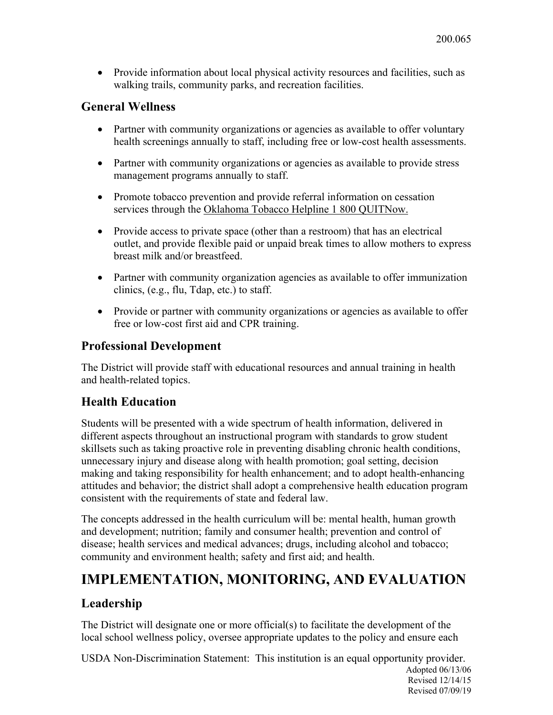• Provide information about local physical activity resources and facilities, such as walking trails, community parks, and recreation facilities.

### **General Wellness**

- Partner with community organizations or agencies as available to offer voluntary health screenings annually to staff, including free or low-cost health assessments.
- Partner with community organizations or agencies as available to provide stress management programs annually to staff.
- Promote tobacco prevention and provide referral information on cessation services through the Oklahoma Tobacco Helpline 1 800 QUITNow.
- Provide access to private space (other than a restroom) that has an electrical outlet, and provide flexible paid or unpaid break times to allow mothers to express breast milk and/or breastfeed.
- Partner with community organization agencies as available to offer immunization clinics, (e.g., flu, Tdap, etc.) to staff.
- Provide or partner with community organizations or agencies as available to offer free or low-cost first aid and CPR training.

## **Professional Development**

The District will provide staff with educational resources and annual training in health and health-related topics.

## **Health Education**

Students will be presented with a wide spectrum of health information, delivered in different aspects throughout an instructional program with standards to grow student skillsets such as taking proactive role in preventing disabling chronic health conditions, unnecessary injury and disease along with health promotion; goal setting, decision making and taking responsibility for health enhancement; and to adopt health-enhancing attitudes and behavior; the district shall adopt a comprehensive health education program consistent with the requirements of state and federal law.

The concepts addressed in the health curriculum will be: mental health, human growth and development; nutrition; family and consumer health; prevention and control of disease; health services and medical advances; drugs, including alcohol and tobacco; community and environment health; safety and first aid; and health.

# **IMPLEMENTATION, MONITORING, AND EVALUATION**

## **Leadership**

The District will designate one or more official(s) to facilitate the development of the local school wellness policy, oversee appropriate updates to the policy and ensure each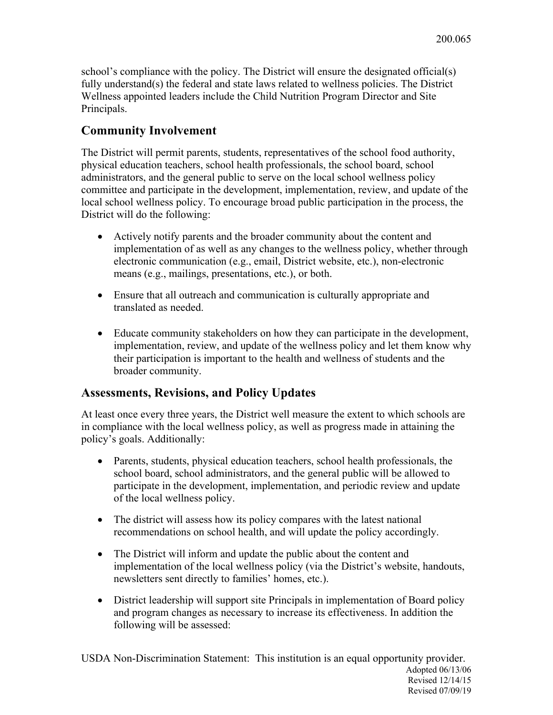school's compliance with the policy. The District will ensure the designated official(s) fully understand(s) the federal and state laws related to wellness policies. The District Wellness appointed leaders include the Child Nutrition Program Director and Site Principals.

## **Community Involvement**

The District will permit parents, students, representatives of the school food authority, physical education teachers, school health professionals, the school board, school administrators, and the general public to serve on the local school wellness policy committee and participate in the development, implementation, review, and update of the local school wellness policy. To encourage broad public participation in the process, the District will do the following:

- Actively notify parents and the broader community about the content and implementation of as well as any changes to the wellness policy, whether through electronic communication (e.g., email, District website, etc.), non-electronic means (e.g., mailings, presentations, etc.), or both.
- Ensure that all outreach and communication is culturally appropriate and translated as needed.
- Educate community stakeholders on how they can participate in the development, implementation, review, and update of the wellness policy and let them know why their participation is important to the health and wellness of students and the broader community.

## **Assessments, Revisions, and Policy Updates**

At least once every three years, the District well measure the extent to which schools are in compliance with the local wellness policy, as well as progress made in attaining the policy's goals. Additionally:

- Parents, students, physical education teachers, school health professionals, the school board, school administrators, and the general public will be allowed to participate in the development, implementation, and periodic review and update of the local wellness policy.
- The district will assess how its policy compares with the latest national recommendations on school health, and will update the policy accordingly.
- The District will inform and update the public about the content and implementation of the local wellness policy (via the District's website, handouts, newsletters sent directly to families' homes, etc.).
- District leadership will support site Principals in implementation of Board policy and program changes as necessary to increase its effectiveness. In addition the following will be assessed: